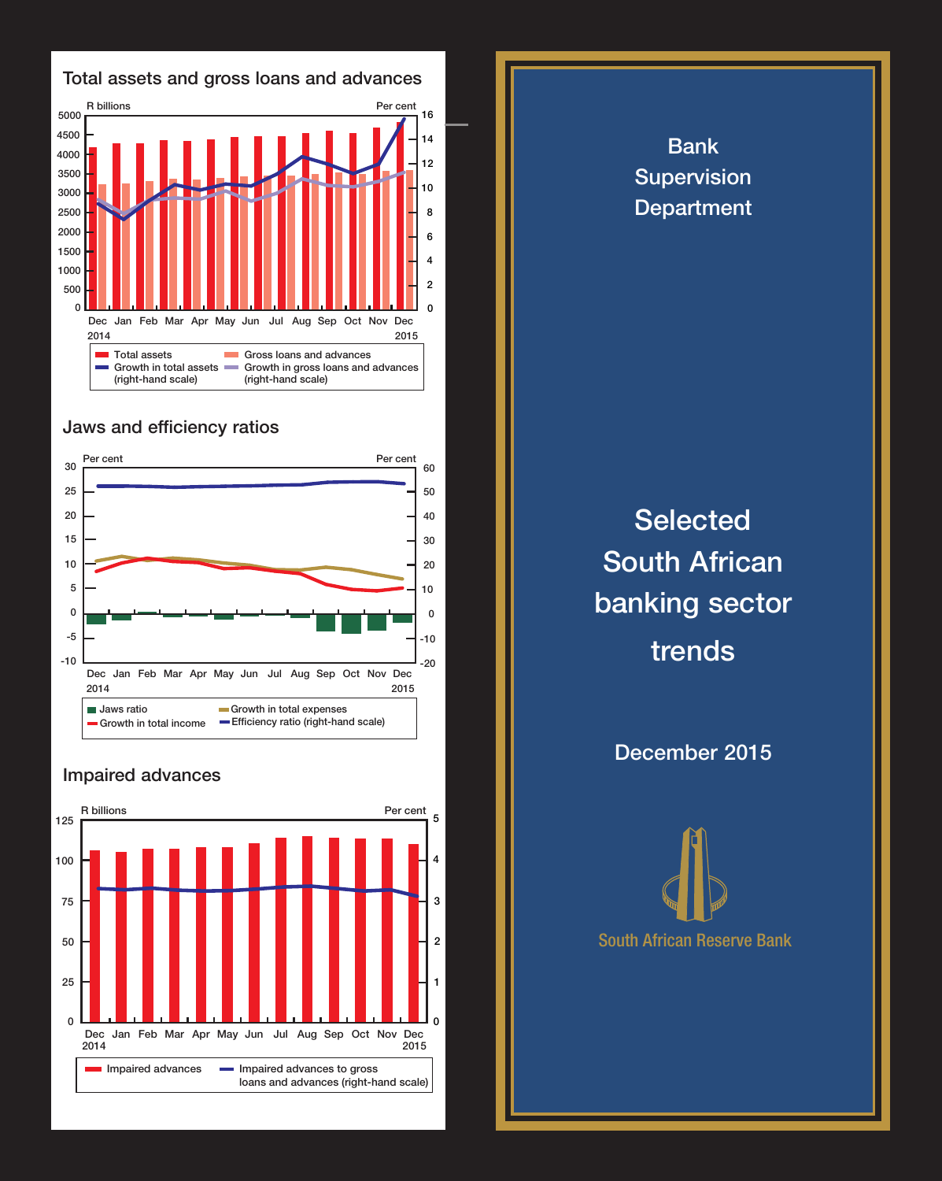

## Jaws and efficiency ratios



## Impaired advances



**Selected** South African banking sector trends

Bank Supervision **Department** 

December 2015